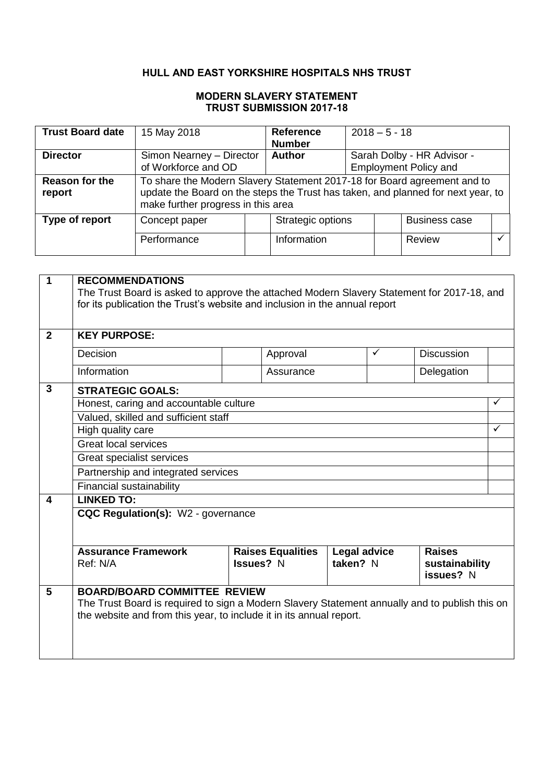# **HULL AND EAST YORKSHIRE HOSPITALS NHS TRUST**

### **MODERN SLAVERY STATEMENT TRUST SUBMISSION 2017-18**

| <b>Trust Board date</b>  | 15 May 2018                                                                                                                                                                                        |  | <b>Reference</b><br><b>Number</b> | $2018 - 5 - 18$                                            |                      |  |
|--------------------------|----------------------------------------------------------------------------------------------------------------------------------------------------------------------------------------------------|--|-----------------------------------|------------------------------------------------------------|----------------------|--|
| <b>Director</b>          | Simon Nearney - Director<br><b>Author</b><br>of Workforce and OD                                                                                                                                   |  |                                   | Sarah Dolby - HR Advisor -<br><b>Employment Policy and</b> |                      |  |
|                          |                                                                                                                                                                                                    |  |                                   |                                                            |                      |  |
| Reason for the<br>report | To share the Modern Slavery Statement 2017-18 for Board agreement and to<br>update the Board on the steps the Trust has taken, and planned for next year, to<br>make further progress in this area |  |                                   |                                                            |                      |  |
| Type of report           | Concept paper                                                                                                                                                                                      |  | Strategic options                 |                                                            | <b>Business case</b> |  |
|                          | Performance                                                                                                                                                                                        |  | Information                       |                                                            | Review               |  |

| 1              | <b>RECOMMENDATIONS</b>                                                                                                                                                |           |  |            |              |  |  |  |
|----------------|-----------------------------------------------------------------------------------------------------------------------------------------------------------------------|-----------|--|------------|--------------|--|--|--|
|                | The Trust Board is asked to approve the attached Modern Slavery Statement for 2017-18, and                                                                            |           |  |            |              |  |  |  |
|                | for its publication the Trust's website and inclusion in the annual report                                                                                            |           |  |            |              |  |  |  |
|                |                                                                                                                                                                       |           |  |            |              |  |  |  |
| $\overline{2}$ | <b>KEY PURPOSE:</b>                                                                                                                                                   |           |  |            |              |  |  |  |
|                | Decision<br><b>Discussion</b><br>Approval<br>✓                                                                                                                        |           |  |            |              |  |  |  |
|                | Information                                                                                                                                                           | Assurance |  | Delegation |              |  |  |  |
| 3              | <b>STRATEGIC GOALS:</b>                                                                                                                                               |           |  |            |              |  |  |  |
|                | Honest, caring and accountable culture                                                                                                                                |           |  |            | $\checkmark$ |  |  |  |
|                | Valued, skilled and sufficient staff                                                                                                                                  |           |  |            |              |  |  |  |
|                | High quality care                                                                                                                                                     |           |  |            | ✓            |  |  |  |
|                | <b>Great local services</b>                                                                                                                                           |           |  |            |              |  |  |  |
|                | Great specialist services                                                                                                                                             |           |  |            |              |  |  |  |
|                | Partnership and integrated services                                                                                                                                   |           |  |            |              |  |  |  |
|                | Financial sustainability                                                                                                                                              |           |  |            |              |  |  |  |
| 4              | <b>LINKED TO:</b>                                                                                                                                                     |           |  |            |              |  |  |  |
|                | CQC Regulation(s): W2 - governance                                                                                                                                    |           |  |            |              |  |  |  |
|                |                                                                                                                                                                       |           |  |            |              |  |  |  |
|                |                                                                                                                                                                       |           |  |            |              |  |  |  |
|                | <b>Assurance Framework</b><br><b>Legal advice</b><br><b>Raises</b><br><b>Raises Equalities</b>                                                                        |           |  |            |              |  |  |  |
|                | Issues? N<br>taken? N<br>Ref: N/A<br>sustainability<br>issues? N                                                                                                      |           |  |            |              |  |  |  |
| 5              | <b>BOARD/BOARD COMMITTEE REVIEW</b>                                                                                                                                   |           |  |            |              |  |  |  |
|                |                                                                                                                                                                       |           |  |            |              |  |  |  |
|                | The Trust Board is required to sign a Modern Slavery Statement annually and to publish this on<br>the website and from this year, to include it in its annual report. |           |  |            |              |  |  |  |
|                |                                                                                                                                                                       |           |  |            |              |  |  |  |
|                |                                                                                                                                                                       |           |  |            |              |  |  |  |
|                |                                                                                                                                                                       |           |  |            |              |  |  |  |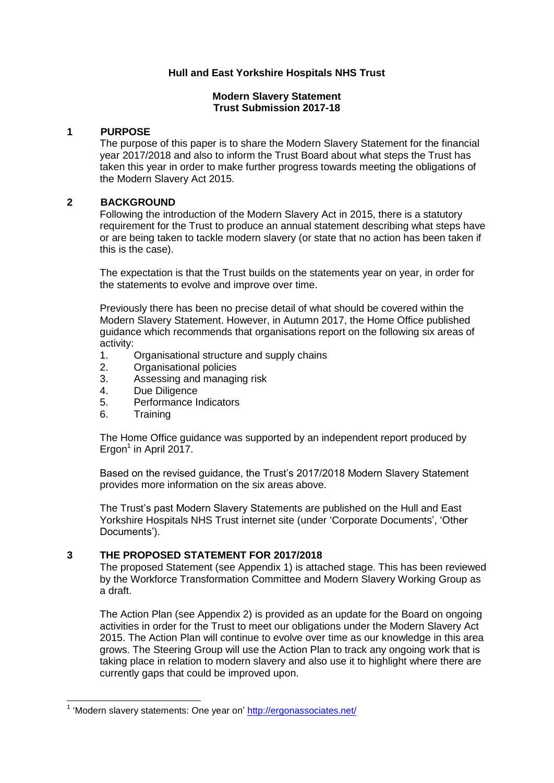### **Hull and East Yorkshire Hospitals NHS Trust**

#### **Modern Slavery Statement Trust Submission 2017-18**

#### **1 PURPOSE**

The purpose of this paper is to share the Modern Slavery Statement for the financial year 2017/2018 and also to inform the Trust Board about what steps the Trust has taken this year in order to make further progress towards meeting the obligations of the Modern Slavery Act 2015.

### **2 BACKGROUND**

Following the introduction of the Modern Slavery Act in 2015, there is a statutory requirement for the Trust to produce an annual statement describing what steps have or are being taken to tackle modern slavery (or state that no action has been taken if this is the case).

The expectation is that the Trust builds on the statements year on year, in order for the statements to evolve and improve over time.

Previously there has been no precise detail of what should be covered within the Modern Slavery Statement. However, in Autumn 2017, the Home Office published guidance which recommends that organisations report on the following six areas of activity:

- 1. Organisational structure and supply chains
- 2. Organisational policies
- 3. Assessing and managing risk
- 4. Due Diligence
- 5. Performance Indicators
- 6. Training

-

The Home Office guidance was supported by an independent report produced by  $E$ rgon<sup>1</sup> in April 2017.

Based on the revised guidance, the Trust"s 2017/2018 Modern Slavery Statement provides more information on the six areas above.

The Trust"s past Modern Slavery Statements are published on the Hull and East Yorkshire Hospitals NHS Trust internet site (under 'Corporate Documents', 'Other Documents').

### **3 THE PROPOSED STATEMENT FOR 2017/2018**

The proposed Statement (see Appendix 1) is attached stage. This has been reviewed by the Workforce Transformation Committee and Modern Slavery Working Group as a draft.

The Action Plan (see Appendix 2) is provided as an update for the Board on ongoing activities in order for the Trust to meet our obligations under the Modern Slavery Act 2015. The Action Plan will continue to evolve over time as our knowledge in this area grows. The Steering Group will use the Action Plan to track any ongoing work that is taking place in relation to modern slavery and also use it to highlight where there are currently gaps that could be improved upon.

<sup>&</sup>lt;sup>1</sup> 'Modern slavery statements: One year on'<http://ergonassociates.net/>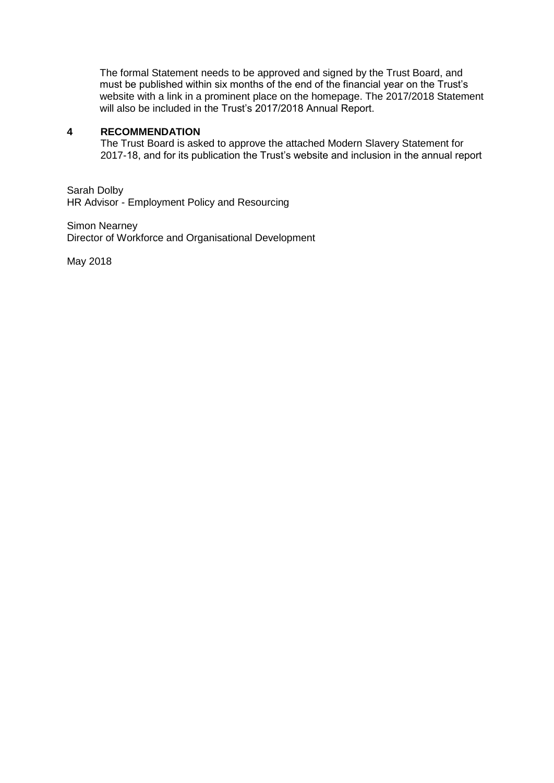The formal Statement needs to be approved and signed by the Trust Board, and must be published within six months of the end of the financial year on the Trust"s website with a link in a prominent place on the homepage. The 2017/2018 Statement will also be included in the Trust's 2017/2018 Annual Report.

#### **4 RECOMMENDATION**

The Trust Board is asked to approve the attached Modern Slavery Statement for 2017-18, and for its publication the Trust"s website and inclusion in the annual report

Sarah Dolby HR Advisor - Employment Policy and Resourcing

Simon Nearney Director of Workforce and Organisational Development

May 2018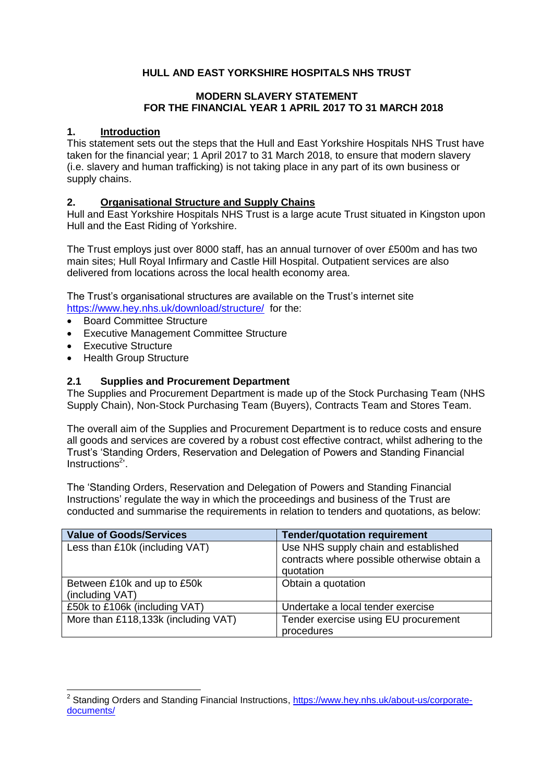# **HULL AND EAST YORKSHIRE HOSPITALS NHS TRUST**

#### **MODERN SLAVERY STATEMENT FOR THE FINANCIAL YEAR 1 APRIL 2017 TO 31 MARCH 2018**

### **1. Introduction**

This statement sets out the steps that the Hull and East Yorkshire Hospitals NHS Trust have taken for the financial year; 1 April 2017 to 31 March 2018, to ensure that modern slavery (i.e. slavery and human trafficking) is not taking place in any part of its own business or supply chains.

# **2. Organisational Structure and Supply Chains**

Hull and East Yorkshire Hospitals NHS Trust is a large acute Trust situated in Kingston upon Hull and the East Riding of Yorkshire.

The Trust employs just over 8000 staff, has an annual turnover of over £500m and has two main sites; Hull Royal Infirmary and Castle Hill Hospital. Outpatient services are also delivered from locations across the local health economy area.

The Trust"s organisational structures are available on the Trust"s internet site <https://www.hey.nhs.uk/download/structure/>for the:

- Board Committee Structure
- Executive Management Committee Structure
- Executive Structure
- Health Group Structure

### **2.1 Supplies and Procurement Department**

The Supplies and Procurement Department is made up of the Stock Purchasing Team (NHS Supply Chain), Non-Stock Purchasing Team (Buyers), Contracts Team and Stores Team.

The overall aim of the Supplies and Procurement Department is to reduce costs and ensure all goods and services are covered by a robust cost effective contract, whilst adhering to the Trust"s "Standing Orders, Reservation and Delegation of Powers and Standing Financial Instructions<sup>2</sup>'.

The "Standing Orders, Reservation and Delegation of Powers and Standing Financial Instructions" regulate the way in which the proceedings and business of the Trust are conducted and summarise the requirements in relation to tenders and quotations, as below:

| <b>Value of Goods/Services</b>                 | <b>Tender/quotation requirement</b>                                                              |
|------------------------------------------------|--------------------------------------------------------------------------------------------------|
| Less than £10k (including VAT)                 | Use NHS supply chain and established<br>contracts where possible otherwise obtain a<br>quotation |
| Between £10k and up to £50k<br>(including VAT) | Obtain a quotation                                                                               |
| £50k to £106k (including VAT)                  | Undertake a local tender exercise                                                                |
| More than £118,133k (including VAT)            | Tender exercise using EU procurement<br>procedures                                               |

\_\_\_\_\_\_\_\_\_\_\_\_\_\_\_\_\_\_\_\_\_\_\_\_\_\_\_\_\_\_\_\_\_\_\_<br><sup>2</sup> Standing Orders and Standing Financial Instructions, <u>https://www.hey.nhs.uk/about-us/corporate</u>[documents/](https://www.hey.nhs.uk/about-us/corporate-documents/)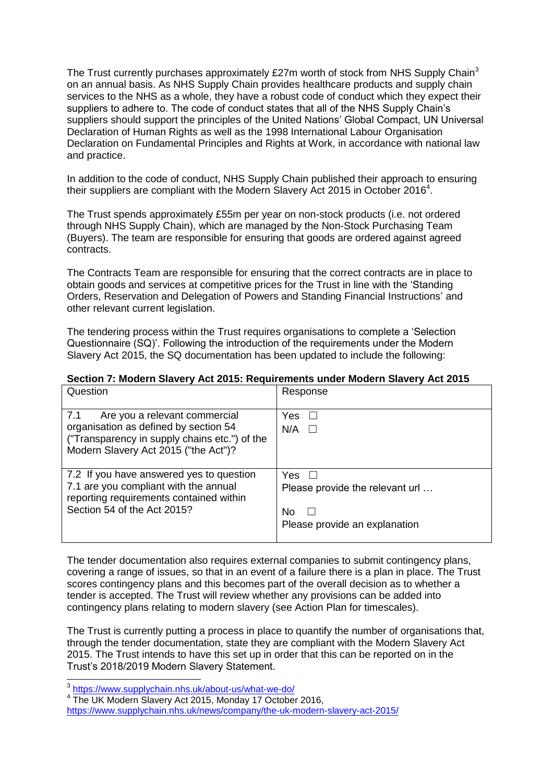The Trust currently purchases approximately £27m worth of stock from NHS Supply Chain<sup>3</sup> on an annual basis. As NHS Supply Chain provides healthcare products and supply chain services to the NHS as a whole, they have a robust code of conduct which they expect their suppliers to adhere to. The code of conduct states that all of the NHS Supply Chain"s suppliers should support the principles of the United Nations" Global Compact, UN Universal Declaration of Human Rights as well as the 1998 International Labour Organisation Declaration on Fundamental Principles and Rights at Work, in accordance with national law and practice.

In addition to the code of conduct, NHS Supply Chain published their approach to ensuring their suppliers are compliant with the Modern Slavery Act 2015 in October 2016<sup>4</sup>.

The Trust spends approximately £55m per year on non-stock products (i.e. not ordered through NHS Supply Chain), which are managed by the Non-Stock Purchasing Team (Buyers). The team are responsible for ensuring that goods are ordered against agreed contracts.

The Contracts Team are responsible for ensuring that the correct contracts are in place to obtain goods and services at competitive prices for the Trust in line with the "Standing Orders, Reservation and Delegation of Powers and Standing Financial Instructions" and other relevant current legislation.

The tendering process within the Trust requires organisations to complete a "Selection Questionnaire (SQ)". Following the introduction of the requirements under the Modern Slavery Act 2015, the SQ documentation has been updated to include the following:

#### **Section 7: Modern Slavery Act 2015: Requirements under Modern Slavery Act 2015**

| Question                                                                                                                                                               | Response                                                                      |
|------------------------------------------------------------------------------------------------------------------------------------------------------------------------|-------------------------------------------------------------------------------|
| 7.1<br>Are you a relevant commercial<br>organisation as defined by section 54<br>("Transparency in supply chains etc.") of the<br>Modern Slavery Act 2015 ("the Act")? | Yes.<br>$\mathbf{L}$<br>N/A<br>$\perp$                                        |
| 7.2 If you have answered yes to question<br>7.1 are you compliant with the annual<br>reporting requirements contained within<br>Section 54 of the Act 2015?            | Yes<br>Please provide the relevant url<br>No<br>Please provide an explanation |

The tender documentation also requires external companies to submit contingency plans, covering a range of issues, so that in an event of a failure there is a plan in place. The Trust scores contingency plans and this becomes part of the overall decision as to whether a tender is accepted. The Trust will review whether any provisions can be added into contingency plans relating to modern slavery (see Action Plan for timescales).

The Trust is currently putting a process in place to quantify the number of organisations that, through the tender documentation, state they are compliant with the Modern Slavery Act 2015. The Trust intends to have this set up in order that this can be reported on in the Trust"s 2018/2019 Modern Slavery Statement.

 3 <https://www.supplychain.nhs.uk/about-us/what-we-do/>

<sup>&</sup>lt;sup>4</sup> The UK Modern Slavery Act 2015, Monday 17 October 2016,

<https://www.supplychain.nhs.uk/news/company/the-uk-modern-slavery-act-2015/>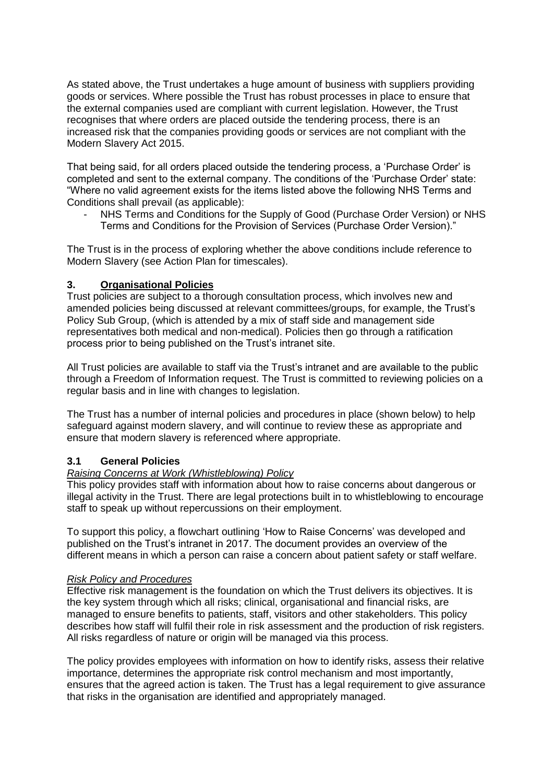As stated above, the Trust undertakes a huge amount of business with suppliers providing goods or services. Where possible the Trust has robust processes in place to ensure that the external companies used are compliant with current legislation. However, the Trust recognises that where orders are placed outside the tendering process, there is an increased risk that the companies providing goods or services are not compliant with the Modern Slavery Act 2015.

That being said, for all orders placed outside the tendering process, a "Purchase Order" is completed and sent to the external company. The conditions of the "Purchase Order" state: "Where no valid agreement exists for the items listed above the following NHS Terms and Conditions shall prevail (as applicable):

- NHS Terms and Conditions for the Supply of Good (Purchase Order Version) or NHS Terms and Conditions for the Provision of Services (Purchase Order Version)."

The Trust is in the process of exploring whether the above conditions include reference to Modern Slavery (see Action Plan for timescales).

# **3. Organisational Policies**

Trust policies are subject to a thorough consultation process, which involves new and amended policies being discussed at relevant committees/groups, for example, the Trust"s Policy Sub Group, (which is attended by a mix of staff side and management side representatives both medical and non-medical). Policies then go through a ratification process prior to being published on the Trust"s intranet site.

All Trust policies are available to staff via the Trust"s intranet and are available to the public through a Freedom of Information request. The Trust is committed to reviewing policies on a regular basis and in line with changes to legislation.

The Trust has a number of internal policies and procedures in place (shown below) to help safeguard against modern slavery, and will continue to review these as appropriate and ensure that modern slavery is referenced where appropriate.

### **3.1 General Policies**

### *Raising Concerns at Work (Whistleblowing) Policy*

This policy provides staff with information about how to raise concerns about dangerous or illegal activity in the Trust. There are legal protections built in to whistleblowing to encourage staff to speak up without repercussions on their employment.

To support this policy, a flowchart outlining "How to Raise Concerns" was developed and published on the Trust"s intranet in 2017. The document provides an overview of the different means in which a person can raise a concern about patient safety or staff welfare.

### *Risk Policy and Procedures*

Effective risk management is the foundation on which the Trust delivers its objectives. It is the key system through which all risks; clinical, organisational and financial risks, are managed to ensure benefits to patients, staff, visitors and other stakeholders. This policy describes how staff will fulfil their role in risk assessment and the production of risk registers. All risks regardless of nature or origin will be managed via this process.

The policy provides employees with information on how to identify risks, assess their relative importance, determines the appropriate risk control mechanism and most importantly, ensures that the agreed action is taken. The Trust has a legal requirement to give assurance that risks in the organisation are identified and appropriately managed.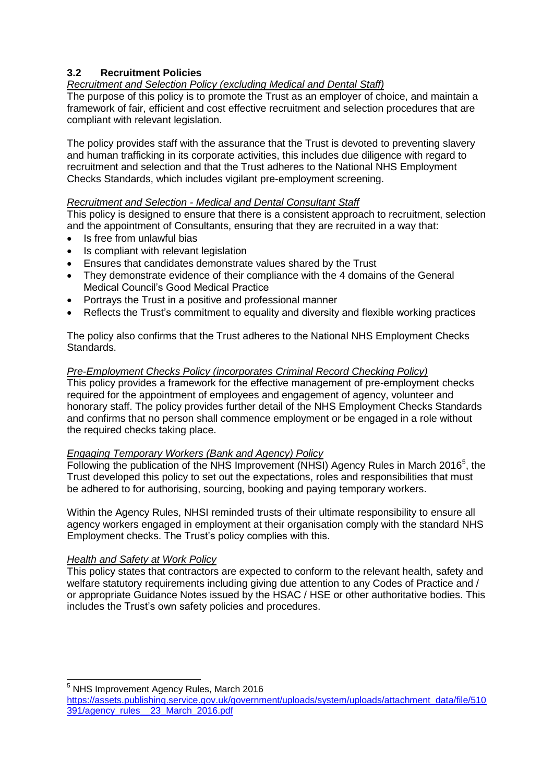# **3.2 Recruitment Policies**

# *Recruitment and Selection Policy (excluding Medical and Dental Staff)*

The purpose of this policy is to promote the Trust as an employer of choice, and maintain a framework of fair, efficient and cost effective recruitment and selection procedures that are compliant with relevant legislation.

The policy provides staff with the assurance that the Trust is devoted to preventing slavery and human trafficking in its corporate activities, this includes due diligence with regard to recruitment and selection and that the Trust adheres to the National NHS Employment Checks Standards, which includes vigilant pre-employment screening.

### *Recruitment and Selection - Medical and Dental Consultant Staff*

This policy is designed to ensure that there is a consistent approach to recruitment, selection and the appointment of Consultants, ensuring that they are recruited in a way that:

- Is free from unlawful bias
- Is compliant with relevant legislation
- Ensures that candidates demonstrate values shared by the Trust
- They demonstrate evidence of their compliance with the 4 domains of the General Medical Council"s Good Medical Practice
- Portrays the Trust in a positive and professional manner
- Reflects the Trust's commitment to equality and diversity and flexible working practices

The policy also confirms that the Trust adheres to the National NHS Employment Checks Standards.

# *Pre-Employment Checks Policy (incorporates Criminal Record Checking Policy)*

This policy provides a framework for the effective management of pre-employment checks required for the appointment of employees and engagement of agency, volunteer and honorary staff. The policy provides further detail of the NHS Employment Checks Standards and confirms that no person shall commence employment or be engaged in a role without the required checks taking place.

# *Engaging Temporary Workers (Bank and Agency) Policy*

Following the publication of the NHS Improvement (NHSI) Agency Rules in March 2016<sup>5</sup>, the Trust developed this policy to set out the expectations, roles and responsibilities that must be adhered to for authorising, sourcing, booking and paying temporary workers.

Within the Agency Rules, NHSI reminded trusts of their ultimate responsibility to ensure all agency workers engaged in employment at their organisation comply with the standard NHS Employment checks. The Trust"s policy complies with this.

# *Health and Safety at Work Policy*

-

This policy states that contractors are expected to conform to the relevant health, safety and welfare statutory requirements including giving due attention to any Codes of Practice and / or appropriate Guidance Notes issued by the HSAC / HSE or other authoritative bodies. This includes the Trust"s own safety policies and procedures.

<sup>5</sup> NHS Improvement Agency Rules, March 2016

[https://assets.publishing.service.gov.uk/government/uploads/system/uploads/attachment\\_data/file/510](https://assets.publishing.service.gov.uk/government/uploads/system/uploads/attachment_data/file/510391/agency_rules__23_March_2016.pdf) [391/agency\\_rules\\_\\_23\\_March\\_2016.pdf](https://assets.publishing.service.gov.uk/government/uploads/system/uploads/attachment_data/file/510391/agency_rules__23_March_2016.pdf)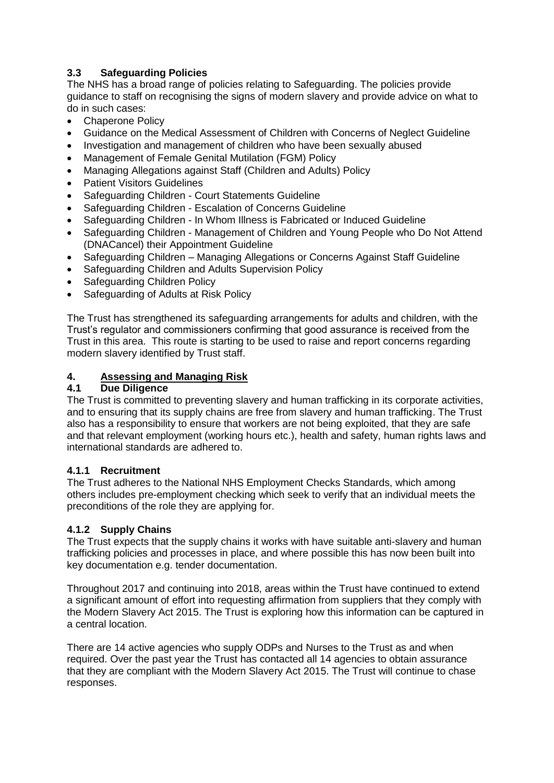# **3.3 Safeguarding Policies**

The NHS has a broad range of policies relating to Safeguarding. The policies provide guidance to staff on recognising the signs of modern slavery and provide advice on what to do in such cases:

- Chaperone Policy
- Guidance on the Medical Assessment of Children with Concerns of Neglect Guideline
- Investigation and management of children who have been sexually abused
- Management of Female Genital Mutilation (FGM) Policy
- Managing Allegations against Staff (Children and Adults) Policy
- Patient Visitors Guidelines
- Safeguarding Children Court Statements Guideline
- Safeguarding Children Escalation of Concerns Guideline
- Safeguarding Children In Whom Illness is Fabricated or Induced Guideline
- Safeguarding Children Management of Children and Young People who Do Not Attend (DNACancel) their Appointment Guideline
- Safeguarding Children Managing Allegations or Concerns Against Staff Guideline
- Safeguarding Children and Adults Supervision Policy
- Safeguarding Children Policy
- Safeguarding of Adults at Risk Policy

The Trust has strengthened its safeguarding arrangements for adults and children, with the Trust"s regulator and commissioners confirming that good assurance is received from the Trust in this area. This route is starting to be used to raise and report concerns regarding modern slavery identified by Trust staff.

# **4. Assessing and Managing Risk**

# **4.1 Due Diligence**

The Trust is committed to preventing slavery and human trafficking in its corporate activities, and to ensuring that its supply chains are free from slavery and human trafficking. The Trust also has a responsibility to ensure that workers are not being exploited, that they are safe and that relevant employment (working hours etc.), health and safety, human rights laws and international standards are adhered to.

### **4.1.1 Recruitment**

The Trust adheres to the National NHS Employment Checks Standards, which among others includes pre-employment checking which seek to verify that an individual meets the preconditions of the role they are applying for.

# **4.1.2 Supply Chains**

The Trust expects that the supply chains it works with have suitable anti-slavery and human trafficking policies and processes in place, and where possible this has now been built into key documentation e.g. tender documentation.

Throughout 2017 and continuing into 2018, areas within the Trust have continued to extend a significant amount of effort into requesting affirmation from suppliers that they comply with the Modern Slavery Act 2015. The Trust is exploring how this information can be captured in a central location.

There are 14 active agencies who supply ODPs and Nurses to the Trust as and when required. Over the past year the Trust has contacted all 14 agencies to obtain assurance that they are compliant with the Modern Slavery Act 2015. The Trust will continue to chase responses.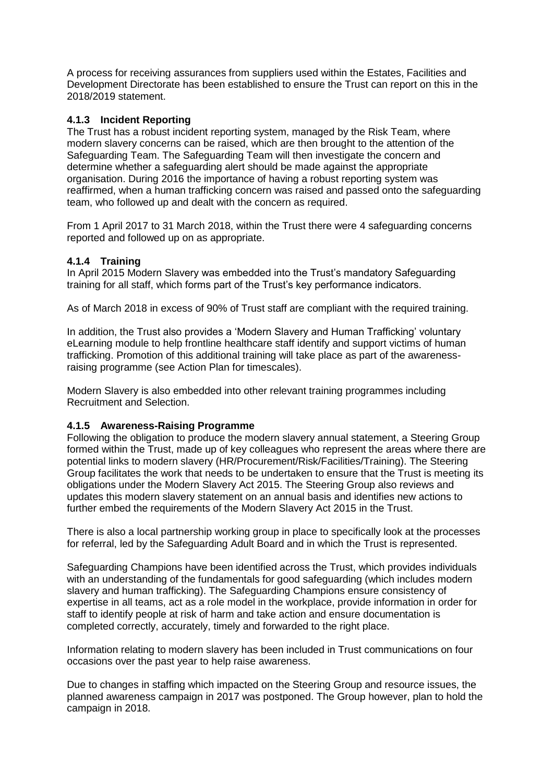A process for receiving assurances from suppliers used within the Estates, Facilities and Development Directorate has been established to ensure the Trust can report on this in the 2018/2019 statement.

# **4.1.3 Incident Reporting**

The Trust has a robust incident reporting system, managed by the Risk Team, where modern slavery concerns can be raised, which are then brought to the attention of the Safeguarding Team. The Safeguarding Team will then investigate the concern and determine whether a safeguarding alert should be made against the appropriate organisation. During 2016 the importance of having a robust reporting system was reaffirmed, when a human trafficking concern was raised and passed onto the safeguarding team, who followed up and dealt with the concern as required.

From 1 April 2017 to 31 March 2018, within the Trust there were 4 safeguarding concerns reported and followed up on as appropriate.

# **4.1.4 Training**

In April 2015 Modern Slavery was embedded into the Trust"s mandatory Safeguarding training for all staff, which forms part of the Trust"s key performance indicators.

As of March 2018 in excess of 90% of Trust staff are compliant with the required training.

In addition, the Trust also provides a "Modern Slavery and Human Trafficking" voluntary eLearning module to help frontline healthcare staff identify and support victims of human trafficking. Promotion of this additional training will take place as part of the awarenessraising programme (see Action Plan for timescales).

Modern Slavery is also embedded into other relevant training programmes including Recruitment and Selection.

### **4.1.5 Awareness-Raising Programme**

Following the obligation to produce the modern slavery annual statement, a Steering Group formed within the Trust, made up of key colleagues who represent the areas where there are potential links to modern slavery (HR/Procurement/Risk/Facilities/Training). The Steering Group facilitates the work that needs to be undertaken to ensure that the Trust is meeting its obligations under the Modern Slavery Act 2015. The Steering Group also reviews and updates this modern slavery statement on an annual basis and identifies new actions to further embed the requirements of the Modern Slavery Act 2015 in the Trust.

There is also a local partnership working group in place to specifically look at the processes for referral, led by the Safeguarding Adult Board and in which the Trust is represented.

Safeguarding Champions have been identified across the Trust, which provides individuals with an understanding of the fundamentals for good safeguarding (which includes modern slavery and human trafficking). The Safeguarding Champions ensure consistency of expertise in all teams, act as a role model in the workplace, provide information in order for staff to identify people at risk of harm and take action and ensure documentation is completed correctly, accurately, timely and forwarded to the right place.

Information relating to modern slavery has been included in Trust communications on four occasions over the past year to help raise awareness.

Due to changes in staffing which impacted on the Steering Group and resource issues, the planned awareness campaign in 2017 was postponed. The Group however, plan to hold the campaign in 2018.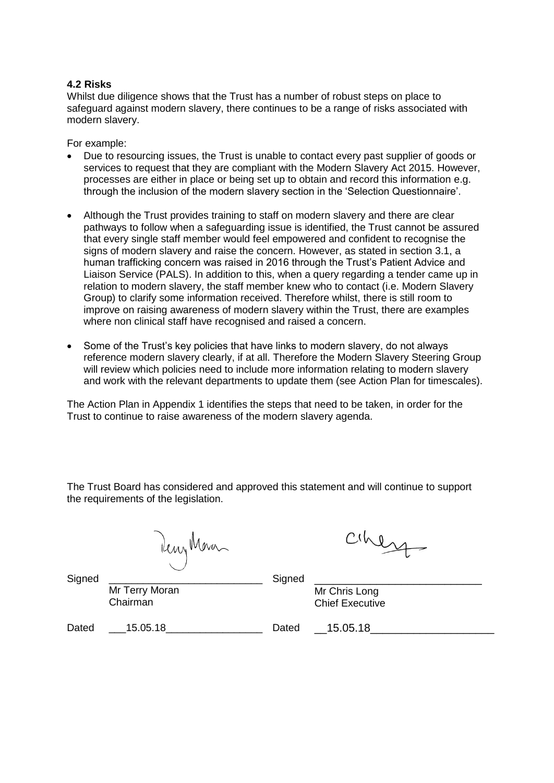#### **4.2 Risks**

Whilst due diligence shows that the Trust has a number of robust steps on place to safeguard against modern slavery, there continues to be a range of risks associated with modern slavery.

For example:

- Due to resourcing issues, the Trust is unable to contact every past supplier of goods or services to request that they are compliant with the Modern Slavery Act 2015. However, processes are either in place or being set up to obtain and record this information e.g. through the inclusion of the modern slavery section in the "Selection Questionnaire".
- Although the Trust provides training to staff on modern slavery and there are clear pathways to follow when a safeguarding issue is identified, the Trust cannot be assured that every single staff member would feel empowered and confident to recognise the signs of modern slavery and raise the concern. However, as stated in section 3.1, a human trafficking concern was raised in 2016 through the Trust"s Patient Advice and Liaison Service (PALS). In addition to this, when a query regarding a tender came up in relation to modern slavery, the staff member knew who to contact (i.e. Modern Slavery Group) to clarify some information received. Therefore whilst, there is still room to improve on raising awareness of modern slavery within the Trust, there are examples where non clinical staff have recognised and raised a concern.
- Some of the Trust's key policies that have links to modern slavery, do not always reference modern slavery clearly, if at all. Therefore the Modern Slavery Steering Group will review which policies need to include more information relating to modern slavery and work with the relevant departments to update them (see Action Plan for timescales).

The Action Plan in Appendix 1 identifies the steps that need to be taken, in order for the Trust to continue to raise awareness of the modern slavery agenda.

The Trust Board has considered and approved this statement and will continue to support the requirements of the legislation.

Reny Mora

ciheza

Mr Terry Moran Chairman Signed Mr Chris Long Chief Executive Dated \_\_\_15.05.18\_\_\_\_\_\_\_\_\_\_\_\_\_\_\_\_\_ Dated \_\_15.05.18\_\_\_\_\_\_\_\_\_\_\_\_\_\_\_\_\_\_\_\_

Signed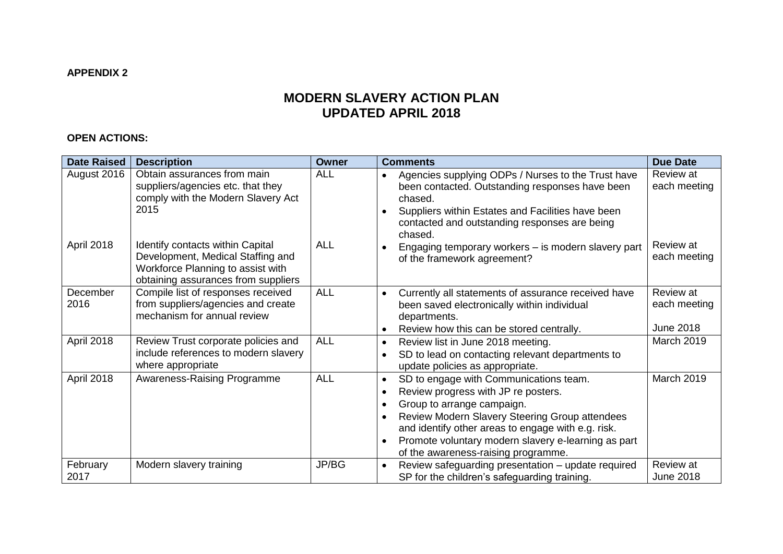# **MODERN SLAVERY ACTION PLAN UPDATED APRIL 2018**

# **OPEN ACTIONS:**

| <b>Date Raised</b> | <b>Description</b>                                                                                                                                       | <b>Owner</b> | <b>Comments</b>                                                                                                                                                                                                                                                                                                                                                                    | <b>Due Date</b>                        |
|--------------------|----------------------------------------------------------------------------------------------------------------------------------------------------------|--------------|------------------------------------------------------------------------------------------------------------------------------------------------------------------------------------------------------------------------------------------------------------------------------------------------------------------------------------------------------------------------------------|----------------------------------------|
| August 2016        | Obtain assurances from main<br>suppliers/agencies etc. that they<br>comply with the Modern Slavery Act<br>2015                                           | <b>ALL</b>   | Agencies supplying ODPs / Nurses to the Trust have<br>$\bullet$<br>been contacted. Outstanding responses have been<br>chased.<br>Suppliers within Estates and Facilities have been<br>$\bullet$<br>contacted and outstanding responses are being<br>chased.                                                                                                                        | Review at<br>each meeting              |
| April 2018         | <b>Identify contacts within Capital</b><br>Development, Medical Staffing and<br>Workforce Planning to assist with<br>obtaining assurances from suppliers | <b>ALL</b>   | Engaging temporary workers - is modern slavery part<br>of the framework agreement?                                                                                                                                                                                                                                                                                                 | Review at<br>each meeting              |
| December<br>2016   | Compile list of responses received<br>from suppliers/agencies and create<br>mechanism for annual review                                                  | <b>ALL</b>   | Currently all statements of assurance received have<br>$\bullet$<br>been saved electronically within individual<br>departments.<br>Review how this can be stored centrally.<br>$\bullet$                                                                                                                                                                                           | Review at<br>each meeting<br>June 2018 |
| April 2018         | Review Trust corporate policies and<br>include references to modern slavery<br>where appropriate                                                         | <b>ALL</b>   | Review list in June 2018 meeting.<br>$\bullet$<br>SD to lead on contacting relevant departments to<br>$\bullet$<br>update policies as appropriate.                                                                                                                                                                                                                                 | March 2019                             |
| April 2018         | <b>Awareness-Raising Programme</b>                                                                                                                       | <b>ALL</b>   | SD to engage with Communications team.<br>$\bullet$<br>Review progress with JP re posters.<br>$\bullet$<br>Group to arrange campaign.<br>$\bullet$<br>Review Modern Slavery Steering Group attendees<br>$\bullet$<br>and identify other areas to engage with e.g. risk.<br>Promote voluntary modern slavery e-learning as part<br>$\bullet$<br>of the awareness-raising programme. | March 2019                             |
| February<br>2017   | Modern slavery training                                                                                                                                  | JP/BG        | Review safeguarding presentation - update required<br>$\bullet$<br>SP for the children's safeguarding training.                                                                                                                                                                                                                                                                    | Review at<br><b>June 2018</b>          |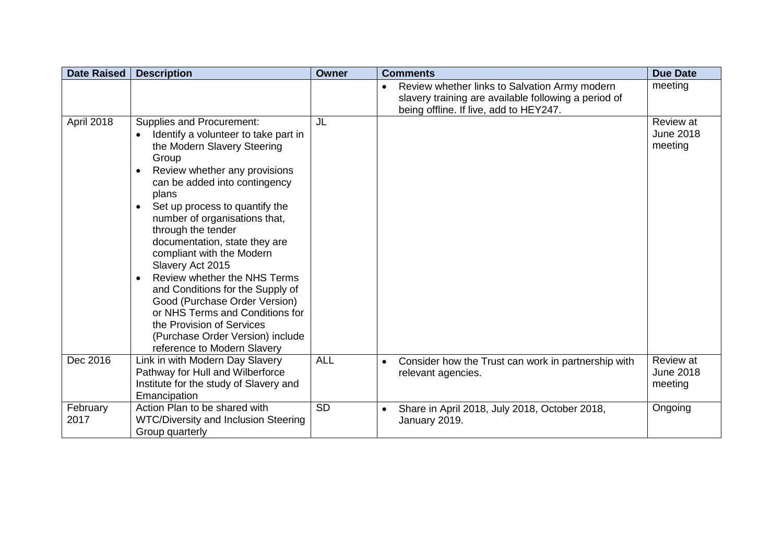| <b>Date Raised</b> | <b>Description</b>                                                                                                                                                                                                                                                                                                                                                                                                                                                                                                                                                                                                                             | <b>Owner</b> | <b>Comments</b>                                                                                                                                              | <b>Due Date</b>                          |
|--------------------|------------------------------------------------------------------------------------------------------------------------------------------------------------------------------------------------------------------------------------------------------------------------------------------------------------------------------------------------------------------------------------------------------------------------------------------------------------------------------------------------------------------------------------------------------------------------------------------------------------------------------------------------|--------------|--------------------------------------------------------------------------------------------------------------------------------------------------------------|------------------------------------------|
|                    |                                                                                                                                                                                                                                                                                                                                                                                                                                                                                                                                                                                                                                                |              | Review whether links to Salvation Army modern<br>$\bullet$<br>slavery training are available following a period of<br>being offline. If live, add to HEY247. | meeting                                  |
| April 2018         | Supplies and Procurement:<br>Identify a volunteer to take part in<br>$\bullet$<br>the Modern Slavery Steering<br>Group<br>Review whether any provisions<br>$\bullet$<br>can be added into contingency<br>plans<br>Set up process to quantify the<br>$\bullet$<br>number of organisations that,<br>through the tender<br>documentation, state they are<br>compliant with the Modern<br>Slavery Act 2015<br>Review whether the NHS Terms<br>and Conditions for the Supply of<br>Good (Purchase Order Version)<br>or NHS Terms and Conditions for<br>the Provision of Services<br>(Purchase Order Version) include<br>reference to Modern Slavery | JL           |                                                                                                                                                              | Review at<br><b>June 2018</b><br>meeting |
| Dec 2016           | Link in with Modern Day Slavery<br>Pathway for Hull and Wilberforce<br>Institute for the study of Slavery and<br>Emancipation                                                                                                                                                                                                                                                                                                                                                                                                                                                                                                                  | <b>ALL</b>   | Consider how the Trust can work in partnership with<br>$\bullet$<br>relevant agencies.                                                                       | Review at<br><b>June 2018</b><br>meeting |
| February<br>2017   | Action Plan to be shared with<br><b>WTC/Diversity and Inclusion Steering</b><br>Group quarterly                                                                                                                                                                                                                                                                                                                                                                                                                                                                                                                                                | <b>SD</b>    | Share in April 2018, July 2018, October 2018,<br>$\bullet$<br>January 2019.                                                                                  | Ongoing                                  |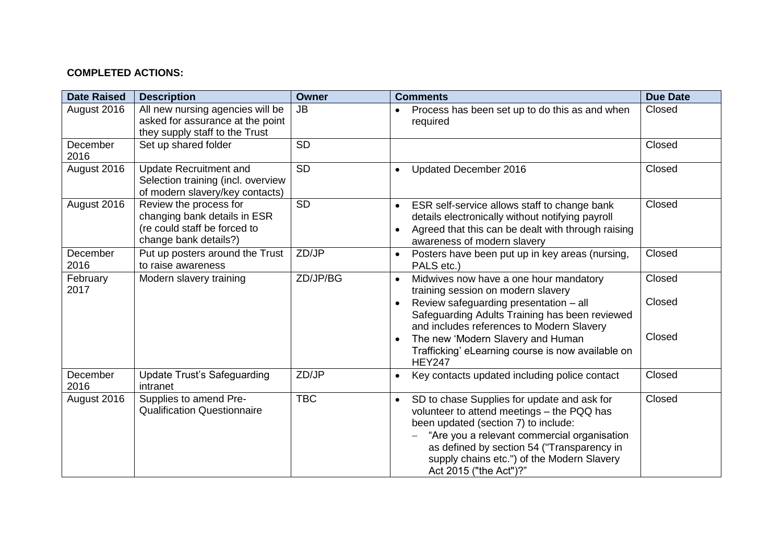# **COMPLETED ACTIONS:**

| <b>Date Raised</b> | <b>Description</b>                                                                                              | <b>Owner</b> | <b>Comments</b>                                                                                                                                                                                                                                                                                                     | <b>Due Date</b>  |
|--------------------|-----------------------------------------------------------------------------------------------------------------|--------------|---------------------------------------------------------------------------------------------------------------------------------------------------------------------------------------------------------------------------------------------------------------------------------------------------------------------|------------------|
| August 2016        | All new nursing agencies will be<br>asked for assurance at the point<br>they supply staff to the Trust          | <b>JB</b>    | Process has been set up to do this as and when<br>required                                                                                                                                                                                                                                                          | Closed           |
| December<br>2016   | Set up shared folder                                                                                            | <b>SD</b>    |                                                                                                                                                                                                                                                                                                                     | Closed           |
| August 2016        | <b>Update Recruitment and</b><br>Selection training (incl. overview<br>of modern slavery/key contacts)          | <b>SD</b>    | Updated December 2016<br>$\bullet$                                                                                                                                                                                                                                                                                  | Closed           |
| August 2016        | Review the process for<br>changing bank details in ESR<br>(re could staff be forced to<br>change bank details?) | <b>SD</b>    | ESR self-service allows staff to change bank<br>$\bullet$<br>details electronically without notifying payroll<br>Agreed that this can be dealt with through raising<br>awareness of modern slavery                                                                                                                  | Closed           |
| December<br>2016   | Put up posters around the Trust<br>to raise awareness                                                           | ZD/JP        | Posters have been put up in key areas (nursing,<br>$\bullet$<br>PALS etc.)                                                                                                                                                                                                                                          | Closed           |
| February<br>2017   | Modern slavery training                                                                                         | ZD/JP/BG     | Midwives now have a one hour mandatory<br>training session on modern slavery<br>Review safeguarding presentation - all<br>$\bullet$<br>Safeguarding Adults Training has been reviewed<br>and includes references to Modern Slavery                                                                                  | Closed<br>Closed |
|                    |                                                                                                                 |              | The new 'Modern Slavery and Human<br>Trafficking' eLearning course is now available on<br><b>HEY247</b>                                                                                                                                                                                                             | Closed           |
| December<br>2016   | <b>Update Trust's Safeguarding</b><br>intranet                                                                  | ZD/JP        | Key contacts updated including police contact<br>$\bullet$                                                                                                                                                                                                                                                          | Closed           |
| August 2016        | Supplies to amend Pre-<br><b>Qualification Questionnaire</b>                                                    | <b>TBC</b>   | SD to chase Supplies for update and ask for<br>$\bullet$<br>volunteer to attend meetings - the PQQ has<br>been updated (section 7) to include:<br>"Are you a relevant commercial organisation<br>as defined by section 54 ("Transparency in<br>supply chains etc.") of the Modern Slavery<br>Act 2015 ("the Act")?" | Closed           |